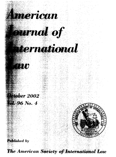

**The American Society of International Law**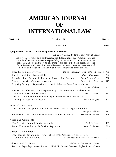# **AMERICAN JOURNAL OF INTERNATIONAL LAW**

### **VOL. 96 October 2002 NO. 4**

## **CONTENTS PAGE**

#### **Symposium:** The ILC's State **Responsibility Articles**

#### *Edited by Daniel Bodansky and John R Crook*

After years of work and controversy, the International Law Commission has completed its articles on state responsibility, a fundamental concept of international law. The contributors to this symposium probe the basic premises of the Commission's work, examine central issues of invocation, countermeasures, and remedies, and weigh the authority and future relevance of the árdeles.

| Introduction and Overview                                                          | Daniel Bodansky and John R Crook | 773 |
|------------------------------------------------------------------------------------|----------------------------------|-----|
| The ILC and State Responsibility                                                   | Robert Rosenstock                | 792 |
| Invoking State Responsibility in the Twenty-first Century                          | Edith Brown Weiss                | 798 |
| Counterintuiting Countermeasures                                                   | David J. Bederman                | 817 |
| Righting Wrongs: Reparations in the Articles on State Responsibility               |                                  |     |
|                                                                                    | Dinah Shelton                    | 833 |
| The ILC Articles on State Responsibility: The Paradoxical Relationship             |                                  |     |
| Between Form and Authority                                                         | David D.Caron                    | 857 |
| The ILC's Articles on Responsibility of States for Internationally                 |                                  |     |
| Wrongful Acts: A Retrospect                                                        | James Crawford                   | 874 |
|                                                                                    |                                  |     |
| <b>Editorial Comments</b>                                                          |                                  |     |
| The Taliban, Al Qaeda, and the Determination of Illegal Combatants                 |                                  |     |
|                                                                                    | George H. Aldrich                | 891 |
| Inspections and Their Enforcement: A Modest Proposal                               | Thomas M. Franck                 | 899 |
| <b>Notes and Comments</b>                                                          |                                  |     |
| The Security Council Starts Legislating                                            | Paul C. Szasz                    | 901 |
| Jus ad Helium, and Jus in Bello After September 11                                 | Steven R. Ratner                 | 905 |
| Current Developments                                                               |                                  |     |
| The Second Review Conference of the 1980 Convention on Certain                     |                                  |     |
| Conventional Weapons                                                               | David Kaye and Steven A. Solomon | 922 |
| <b>International Decisions</b>                                                     | Edited by Bernard H. Oxman       |     |
| Decision Regarding Communication 155/96 (Social and Economic Rights Action Center/ |                                  |     |